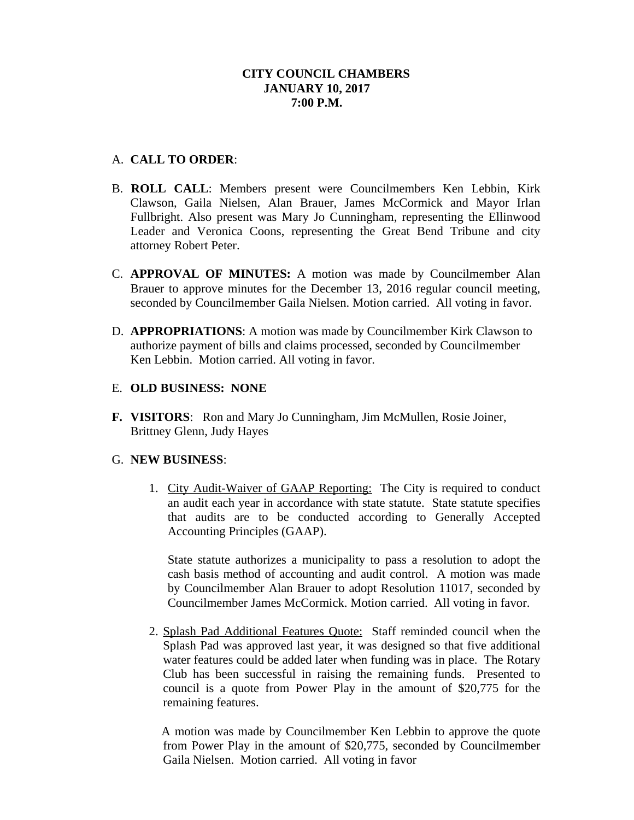# **CITY COUNCIL CHAMBERS JANUARY 10, 2017 7:00 P.M.**

# A. **CALL TO ORDER**:

- B. **ROLL CALL**: Members present were Councilmembers Ken Lebbin, Kirk Clawson, Gaila Nielsen, Alan Brauer, James McCormick and Mayor Irlan Fullbright. Also present was Mary Jo Cunningham, representing the Ellinwood Leader and Veronica Coons, representing the Great Bend Tribune and city attorney Robert Peter.
- C. **APPROVAL OF MINUTES:** A motion was made by Councilmember Alan Brauer to approve minutes for the December 13, 2016 regular council meeting, seconded by Councilmember Gaila Nielsen. Motion carried. All voting in favor.
- D. **APPROPRIATIONS**: A motion was made by Councilmember Kirk Clawson to authorize payment of bills and claims processed, seconded by Councilmember Ken Lebbin. Motion carried. All voting in favor.
- E. **OLD BUSINESS: NONE**
- **F. VISITORS**: Ron and Mary Jo Cunningham, Jim McMullen, Rosie Joiner, Brittney Glenn, Judy Hayes

## G. **NEW BUSINESS**:

1. City Audit-Waiver of GAAP Reporting: The City is required to conduct an audit each year in accordance with state statute. State statute specifies that audits are to be conducted according to Generally Accepted Accounting Principles (GAAP).

State statute authorizes a municipality to pass a resolution to adopt the cash basis method of accounting and audit control. A motion was made by Councilmember Alan Brauer to adopt Resolution 11017, seconded by Councilmember James McCormick. Motion carried. All voting in favor.

2. Splash Pad Additional Features Quote: Staff reminded council when the Splash Pad was approved last year, it was designed so that five additional water features could be added later when funding was in place. The Rotary Club has been successful in raising the remaining funds. Presented to council is a quote from Power Play in the amount of \$20,775 for the remaining features.

A motion was made by Councilmember Ken Lebbin to approve the quote from Power Play in the amount of \$20,775, seconded by Councilmember Gaila Nielsen. Motion carried. All voting in favor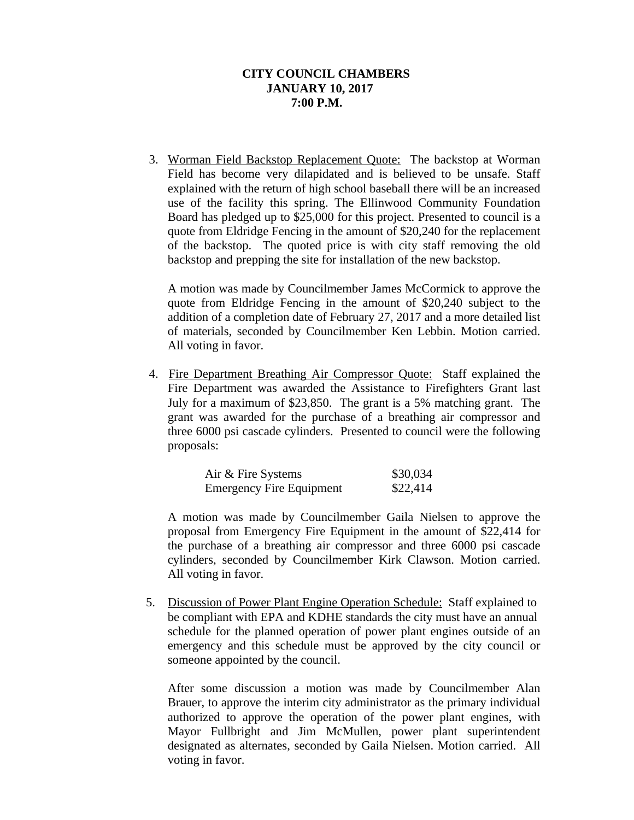## **CITY COUNCIL CHAMBERS JANUARY 10, 2017 7:00 P.M.**

3. Worman Field Backstop Replacement Quote: The backstop at Worman Field has become very dilapidated and is believed to be unsafe. Staff explained with the return of high school baseball there will be an increased use of the facility this spring. The Ellinwood Community Foundation Board has pledged up to \$25,000 for this project. Presented to council is a quote from Eldridge Fencing in the amount of \$20,240 for the replacement of the backstop. The quoted price is with city staff removing the old backstop and prepping the site for installation of the new backstop.

A motion was made by Councilmember James McCormick to approve the quote from Eldridge Fencing in the amount of \$20,240 subject to the addition of a completion date of February 27, 2017 and a more detailed list of materials, seconded by Councilmember Ken Lebbin. Motion carried. All voting in favor.

4. Fire Department Breathing Air Compressor Quote: Staff explained the Fire Department was awarded the Assistance to Firefighters Grant last July for a maximum of \$23,850. The grant is a 5% matching grant. The grant was awarded for the purchase of a breathing air compressor and three 6000 psi cascade cylinders. Presented to council were the following proposals:

| Air & Fire Systems              | \$30,034 |
|---------------------------------|----------|
| <b>Emergency Fire Equipment</b> | \$22,414 |

A motion was made by Councilmember Gaila Nielsen to approve the proposal from Emergency Fire Equipment in the amount of \$22,414 for the purchase of a breathing air compressor and three 6000 psi cascade cylinders, seconded by Councilmember Kirk Clawson. Motion carried. All voting in favor.

 5. Discussion of Power Plant Engine Operation Schedule: Staff explained to be compliant with EPA and KDHE standards the city must have an annual schedule for the planned operation of power plant engines outside of an emergency and this schedule must be approved by the city council or someone appointed by the council.

After some discussion a motion was made by Councilmember Alan Brauer, to approve the interim city administrator as the primary individual authorized to approve the operation of the power plant engines, with Mayor Fullbright and Jim McMullen, power plant superintendent designated as alternates, seconded by Gaila Nielsen. Motion carried. All voting in favor.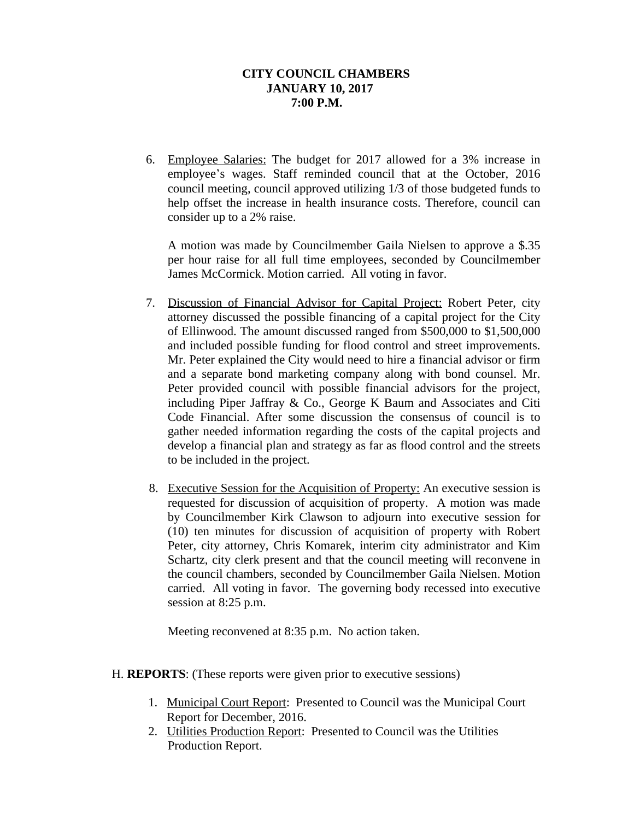# **CITY COUNCIL CHAMBERS JANUARY 10, 2017 7:00 P.M.**

6. Employee Salaries: The budget for 2017 allowed for a 3% increase in employee's wages. Staff reminded council that at the October, 2016 council meeting, council approved utilizing 1/3 of those budgeted funds to help offset the increase in health insurance costs. Therefore, council can consider up to a 2% raise.

A motion was made by Councilmember Gaila Nielsen to approve a \$.35 per hour raise for all full time employees, seconded by Councilmember James McCormick. Motion carried. All voting in favor.

- 7. Discussion of Financial Advisor for Capital Project: Robert Peter, city attorney discussed the possible financing of a capital project for the City of Ellinwood. The amount discussed ranged from \$500,000 to \$1,500,000 and included possible funding for flood control and street improvements. Mr. Peter explained the City would need to hire a financial advisor or firm and a separate bond marketing company along with bond counsel. Mr. Peter provided council with possible financial advisors for the project, including Piper Jaffray & Co., George K Baum and Associates and Citi Code Financial. After some discussion the consensus of council is to gather needed information regarding the costs of the capital projects and develop a financial plan and strategy as far as flood control and the streets to be included in the project.
- 8. Executive Session for the Acquisition of Property: An executive session is requested for discussion of acquisition of property. A motion was made by Councilmember Kirk Clawson to adjourn into executive session for (10) ten minutes for discussion of acquisition of property with Robert Peter, city attorney, Chris Komarek, interim city administrator and Kim Schartz, city clerk present and that the council meeting will reconvene in the council chambers, seconded by Councilmember Gaila Nielsen. Motion carried. All voting in favor. The governing body recessed into executive session at 8:25 p.m.

Meeting reconvened at 8:35 p.m. No action taken.

- H. **REPORTS**: (These reports were given prior to executive sessions)
	- 1. Municipal Court Report: Presented to Council was the Municipal Court Report for December, 2016.
	- 2. Utilities Production Report: Presented to Council was the Utilities Production Report.